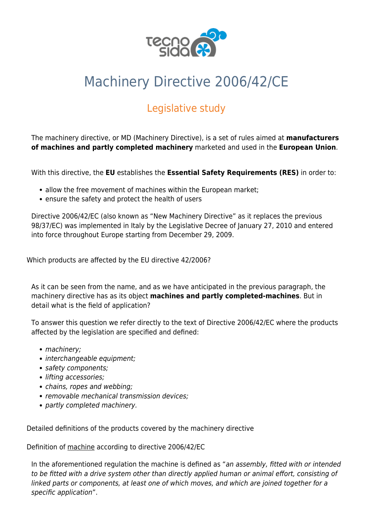

# Machinery Directive 2006/42/CE

## Legislative study

The [machinery directive](https://eur-lex.europa.eu/LexUriServ/LexUriServ.do?uri=OJ:L:2006:157:0024:0086:EN:PDF), or MD ([Machinery Directive](https://ec.europa.eu/growth/single-market/european-standards/harmonised-standards/machinery_it)), is a set of rules aimed at **manufacturers of machines and partly completed machinery** marketed and used in the **European Union**.

With this directive, the **EU** establishes the **Essential Safety Requirements (RES)** in order to:

- allow the free movement of machines within the European market;
- ensure the safety and protect the health of users

Directive 2006/42/EC (also known as "New Machinery Directive" as it replaces the previous 98/37/EC) was implemented in Italy by the Legislative Decree of January 27, 2010 and entered into force throughout Europe starting from December 29, 2009.

Which products are affected by the EU directive 42/2006?

As it can be seen from the name, and as we have anticipated in the previous paragraph, the machinery directive has as its object **machines and partly completed-machines**. But in detail what is the field of application?

To answer this question we refer directly to the text of [Directive 2006/42/EC](https://eur-lex.europa.eu/LexUriServ/LexUriServ.do?uri=OJ:L:2006:157:0024:0086:EN:PDF) where the products affected by the legislation are specified and defined:

- machinery;
- interchangeable equipment;
- safety components:
- lifting accessories;
- chains, ropes and webbing;
- removable mechanical transmission devices:
- partly completed machinery.

Detailed definitions of the products covered by the machinery directive

Definition of machine according to directive 2006/42/EC

In the aforementioned regulation the machine is defined as "an assembly, fitted with or intended to be fitted with a drive system other than directly applied human or animal effort, consisting of linked parts or components, at least one of which moves, and which are joined together for a specific application".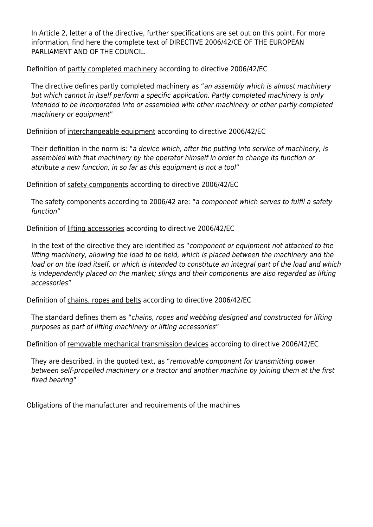In Article 2, letter a of the directive, further specifications are set out on this point. For more information, find here the [complete text of DIRECTIVE 2006/42/CE OF THE EUROPEAN](https://eur-lex.europa.eu/LexUriServ/LexUriServ.do?uri=OJ:L:2006:157:0024:0086:EN:PDF) [PARLIAMENT AND OF THE COUNCIL](https://eur-lex.europa.eu/LexUriServ/LexUriServ.do?uri=OJ:L:2006:157:0024:0086:EN:PDF).

Definition of partly completed machinery according to directive 2006/42/EC

The directive defines partly completed machinery as "an assembly which is almost machinery but which cannot in itself perform a specific application. Partly completed machinery is only intended to be incorporated into or assembled with other machinery or other partly completed machinery or equipment"

Definition of interchangeable equipment according to directive 2006/42/EC

Their definition in the norm is: "a device which, after the putting into service of machinery, is assembled with that machinery by the operator himself in order to change its function or attribute a new function, in so far as this equipment is not a tool"

Definition of safety components according to directive 2006/42/EC

The safety components according to 2006/42 are: "a component which serves to fulfil a safety function"

Definition of lifting accessories according to directive 2006/42/EC

In the text of the directive they are identified as "component or equipment not attached to the lifting machinery, allowing the load to be held, which is placed between the machinery and the load or on the load itself, or which is intended to constitute an integral part of the load and which is independently placed on the market; slings and their components are also regarded as lifting accessories"

Definition of chains, ropes and belts according to directive 2006/42/EC

The standard defines them as "chains, ropes and webbing designed and constructed for lifting purposes as part of lifting machinery or lifting accessories"

Definition of removable mechanical transmission devices according to directive 2006/42/EC

They are described, in the quoted text, as "removable component for transmitting power between self-propelled machinery or a tractor and another machine by joining them at the first fixed bearing"

Obligations of the manufacturer and requirements of the machines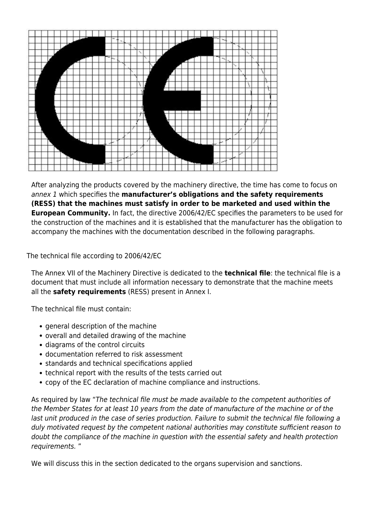

After analyzing the products covered by the machinery directive, the time has come to focus on annex 1 which specifies the **manufacturer's obligations and the safety requirements (RESS) that the machines must satisfy in order to be marketed and used within the European Community.** In fact, the [directive 2006/42/EC](https://www.tecnosida.com/machinery-directive-2006-42-ec) specifies the parameters to be used for the construction of the machines and it is established that the manufacturer has the obligation to accompany the machines with the documentation described in the following paragraphs.

The technical file according to 2006/42/EC

The Annex VII of the Machinery Directive is dedicated to the **technical file**: the technical file is a document that must include all information necessary to demonstrate that the machine meets all the **safety requirements** (RESS) present in Annex I.

The technical file must contain:

- general description of the machine
- overall and detailed drawing of the machine
- diagrams of the control circuits
- documentation referred to risk assessment
- standards and technical specifications applied
- technical report with the results of the tests carried out
- copy of the EC declaration of machine compliance and instructions.

As required by law "The technical file must be made available to the competent authorities of the Member States for at least 10 years from the date of manufacture of the machine or of the last unit produced in the case of series production. Failure to submit the technical file following a duly motivated request by the competent national authorities may constitute sufficient reason to doubt the compliance of the machine in question with the essential safety and health protection requirements. "

We will discuss this in the section dedicated to the organs supervision and sanctions.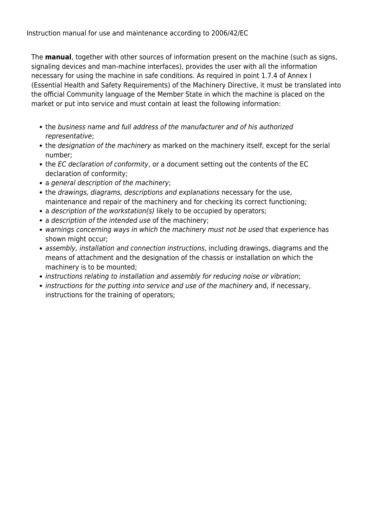Instruction manual for use and maintenance according to 2006/42/EC

The **manual**, together with other sources of information present on the machine (such as signs, signaling devices and man-machine interfaces), provides the user with all the information necessary for using the machine in safe conditions. As required in point 1.7.4 of Annex I (Essential Health and Safety Requirements) of the [Machinery Directive](https://eur-lex.europa.eu/LexUriServ/LexUriServ.do?uri=OJ:L:2006:157:0024:0086:EN:PDF), it must be translated into the official Community language of the Member State in which the machine is placed on the market or put into service and must contain at least the following information:

- the business name and full address of the manufacturer and of his authorized representative;
- the designation of the machinery as marked on the machinery itself, except for the serial number;
- the EC declaration of conformity, or a document setting out the contents of the EC declaration of conformity;
- a general description of the machinery;
- the drawings, diagrams, descriptions and explanations necessary for the use, maintenance and repair of the machinery and for checking its correct functioning;
- a description of the workstation(s) likely to be occupied by operators;
- a description of the intended use of the machinery;
- warnings concerning ways in which the machinery must not be used that experience has shown might occur;
- assembly, installation and connection instructions, including drawings, diagrams and the means of attachment and the designation of the chassis or installation on which the machinery is to be mounted;
- instructions relating to installation and assembly for reducing noise or vibration;
- instructions for the putting into service and use of the machinery and, if necessary, instructions for the training of operators;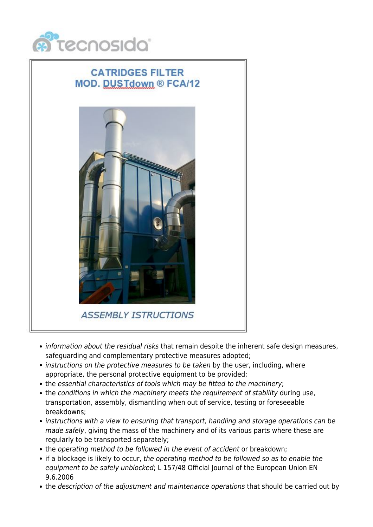

### **CATRIDGES FILTER MOD. DUSTdown ® FCA/12**



- information about the residual risks that remain despite the inherent safe design measures, safeguarding and complementary protective measures adopted;
- instructions on the protective measures to be taken by the user, including, where appropriate, the personal protective equipment to be provided;
- the essential characteristics of tools which may be fitted to the machinery;
- the conditions in which the machinery meets the requirement of stability during use, transportation, assembly, dismantling when out of service, testing or foreseeable breakdowns;
- instructions with a view to ensuring that transport, handling and storage operations can be made safely, giving the mass of the machinery and of its various parts where these are regularly to be transported separately;
- the operating method to be followed in the event of accident or breakdown:
- if a blockage is likely to occur, the operating method to be followed so as to enable the equipment to be safely unblocked; L 157/48 Official Journal of the European Union EN 9.6.2006
- the description of the adjustment and maintenance operations that should be carried out by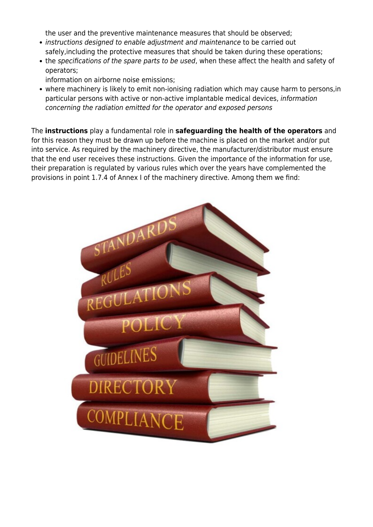the user and the preventive maintenance measures that should be observed;

- instructions designed to enable adjustment and maintenance to be carried out safely,including the protective measures that should be taken during these operations;
- the specifications of the spare parts to be used, when these affect the health and safety of operators;

information on airborne noise emissions;

where machinery is likely to emit non-ionising radiation which may cause harm to persons,in particular persons with active or non-active implantable medical devices, information concerning the radiation emitted for the operator and exposed persons

The **instructions** play a fundamental role in **safeguarding the health of the operators** and for this reason they must be drawn up before the machine is placed on the market and/or put into service. As required by the machinery directive, the manufacturer/distributor must ensure that the end user receives these instructions. Given the importance of the information for use, their preparation is regulated by various rules which over the years have complemented the provisions in point 1.7.4 of Annex I of the machinery directive. Among them we find:

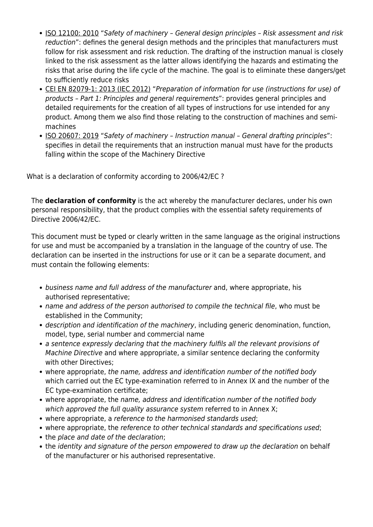- ISO 12100: 2010 "Safety of machinery General design principles Risk assessment and risk reduction": defines the general design methods and the principles that manufacturers must follow for risk assessment and risk reduction. The drafting of the instruction manual is closely linked to the risk assessment as the latter allows identifying the hazards and estimating the risks that arise during the life cycle of the machine. The goal is to eliminate these dangers/get to sufficiently reduce risks
- CEI EN 82079-1: 2013 (IEC 2012) "Preparation of information for use (instructions for use) of products – Part 1: Principles and general requirements": provides general principles and detailed requirements for the creation of all types of instructions for use intended for any product. Among them we also find those relating to the construction of machines and semimachines
- ISO 20607: 2019 "Safety of machinery Instruction manual General drafting principles": specifies in detail the requirements that an instruction manual must have for the products falling within the scope of the Machinery Directive

What is a declaration of conformity according to 2006/42/EC ?

The **declaration of conformity** is the act whereby the manufacturer declares, under his own personal responsibility, that the product complies with the essential safety requirements of [Directive 2006/42/EC.](https://eur-lex.europa.eu/LexUriServ/LexUriServ.do?uri=OJ:L:2006:157:0024:0086:EN:PDF)

This document must be typed or clearly written in the same language as the original instructions for use and must be accompanied by a translation in the language of the country of use. The declaration can be inserted in the instructions for use or it can be a separate document, and must contain the following elements:

- business name and full address of the manufacturer and, where appropriate, his authorised representative;
- name and address of the person authorised to compile the technical file, who must be established in the Community;
- description and identification of the machinery, including generic denomination, function, model, type, serial number and commercial name
- a sentence expressly declaring that the machinery fulfils all the relevant provisions of Machine Directive and where appropriate, a similar sentence declaring the conformity with other Directives;
- where appropriate, the name, address and identification number of the notified body which carried out the EC type-examination referred to in Annex IX and the number of the EC type-examination certificate;
- where appropriate, the name, address and identification number of the notified body which approved the full quality assurance system referred to in Annex X;
- where appropriate, a reference to the harmonised standards used;
- where appropriate, the reference to other technical standards and specifications used;
- the place and date of the declaration;
- the identity and signature of the person empowered to draw up the declaration on behalf of the manufacturer or his authorised representative.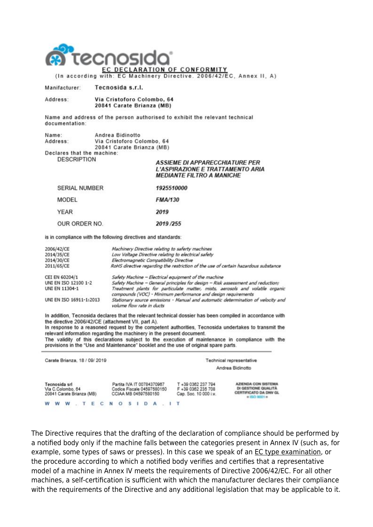

Manifacturer: Tecnosida s.r.l.

Address: Via Cristoforo Colombo, 64 20841 Carate Brianza (MB)

Name and address of the person authorised to exhibit the relevant technical documentation:

| Name:                      | Andrea Bidinotto           |  |  |  |  |  |  |
|----------------------------|----------------------------|--|--|--|--|--|--|
| Address:                   | Via Cristoforo Colombo, 64 |  |  |  |  |  |  |
|                            | 20841 Carate Brianza (MB)  |  |  |  |  |  |  |
| Declares that the machine: |                            |  |  |  |  |  |  |
| <b>DESCRIPTION</b>         | ACCH                       |  |  |  |  |  |  |

#### **SSIEME DI APPARECCHIATURE PER L'ASPIRAZIONE E TRATTAMENTO ARIA MEDIANTE FILTRO A MANICHE**

| <b>SERIAL NUMBER</b> | 1925510000     |  |  |  |
|----------------------|----------------|--|--|--|
| MODEL                | <b>FMA/130</b> |  |  |  |
| <b>YEAR</b>          | 2019           |  |  |  |
| OUR ORDER NO.        | 2019/255       |  |  |  |

is in compliance with the following directives and standards:

| 2006/42/CE              | Machinery Directive relating to saferty machines                                                                                               |
|-------------------------|------------------------------------------------------------------------------------------------------------------------------------------------|
| 2014/35/CE              | Low Voltage Directive relating to electrical safety                                                                                            |
| 2014/30/CE              | Electromagnetic Compatibility Directive                                                                                                        |
| 2011/65/CE              | RoHS directive regarding the restriction of the use of certain hazardous substance                                                             |
| CEI EN 60204/1          | Safety Machine - Electrical equipment of the machine                                                                                           |
| UNI EN ISO 12100 1-2    | Safety Machine - General principles for design - Risk assessment and reduction;                                                                |
| UNI EN 11304-1          | Treatment plants for particulate matter, mists, aerosols and volatile organic<br>compounds (VOC) - Minimum performance and design requirements |
| UNI EN ISO 16911-1:2013 | Stationary source emissions - Manual and automatic determination of velocity and<br>volume flow rate in ducts                                  |

In addition, Tecnosida declares that the relevant technical dossier has been compiled in accordance with the directive 2006/42/CE (attachment VII, part A).

In response to a reasoned request by the competent authorities, Tecnosida undertakes to transmit the relevant information regarding the machinery in the present document. The validity of this declarations subject to the execution of maintenance in compliance with the provisions in the "Use and Maintenance" booklet and the use of original spare parts.

| Carate Brianza, 18 / 09/ 2019                                   |  |  |  |  |       |  |                                                                                  |           |  | Technical representative<br>Andrea Bidinotto |  |  |  |                                                                   |                                                                                                       |
|-----------------------------------------------------------------|--|--|--|--|-------|--|----------------------------------------------------------------------------------|-----------|--|----------------------------------------------|--|--|--|-------------------------------------------------------------------|-------------------------------------------------------------------------------------------------------|
| Tecnosida srl<br>Via C.Colombo, 64<br>20841 Carate Brianza (MB) |  |  |  |  |       |  | Partita IVA IT 00784370967<br>Codice Fiscale 04597580150<br>CCIAA MB 04597580150 |           |  |                                              |  |  |  | T +39 0362 237 794<br>F +39 0362 235 708<br>Cap. Soc. 10 000 i.v. | <b>AZIENDA CON SISTEMA</b><br>DI GESTIONE QUALITÀ<br><b>CERTIFICATO DA DNV GL</b><br>$= 150$ 0001 $=$ |
| w                                                               |  |  |  |  | T E C |  |                                                                                  | $O_S I D$ |  |                                              |  |  |  |                                                                   |                                                                                                       |

The Directive requires that the drafting of the declaration of compliance should be performed by a notified body only if the machine falls between the categories present in Annex IV (such as, for example, some types of saws or presses). In this case we speak of an EC type examination, or the procedure according to which a notified body verifies and certifies that a representative model of a machine in Annex IV meets the requirements of Directive 2006/42/EC. For all other machines, a self-certification is sufficient with which the manufacturer declares their compliance with the requirements of the Directive and any additional legislation that may be applicable to it.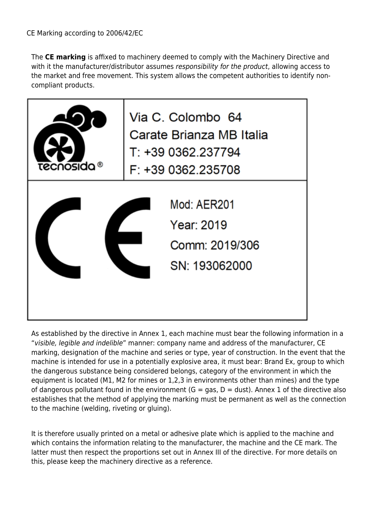The **CE marking** is affixed to machinery deemed to comply with the Machinery Directive and with it the manufacturer/distributor assumes responsibility for the product, allowing access to the market and free movement. This system allows the competent authorities to identify noncompliant products.



As established by the directive in Annex 1, each machine must bear the following information in a "visible, legible and indelible" manner: company name and address of the manufacturer, CE marking, designation of the machine and series or type, year of construction. In the event that the machine is intended for use in a [potentially explosive area](https://www.tecnosida.com/eu-directive-atex-34-2014), it must bear: [Brand Ex,](https://www.tecnosida.com/atex-ventilation-systems) group to which the dangerous substance being considered belongs, category of the environment in which the equipment is located (M1, M2 for mines or 1,2,3 in environments other than mines) and the type of dangerous pollutant found in the environment ( $G = gas$ ,  $D = dust$ ). Annex 1 of the directive also establishes that the method of applying the marking must be permanent as well as the connection to the machine (welding, riveting or gluing).

It is therefore usually printed on a metal or adhesive plate which is applied to the machine and which contains the information relating to the manufacturer, the machine and the CE mark. The latter must then respect the proportions set out in Annex III of the directive. For more details on this, please keep the machinery directive as a reference.